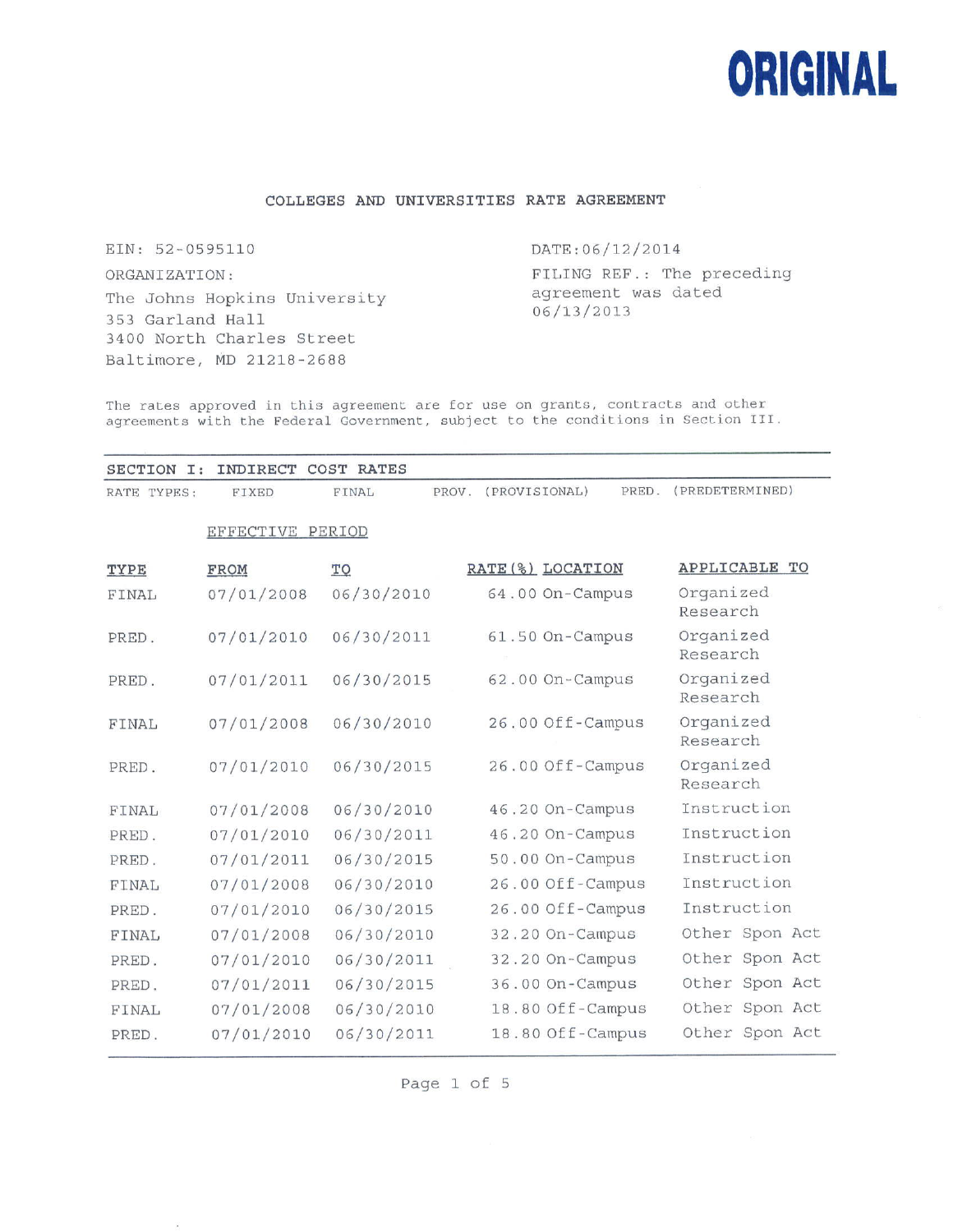

# **COLLEGES AND UNIVERSITIES RATE AGREEMENT**

EIN: 52-0595110 ORGANIZATION: The Johns Hopkins University 353 Garland Hall 3400 North Charles Street Baltimore, MD 21218-2688

## DATE:06/12/2014

FILING REF.: The preceding agreement was dated 06/13/2013

The rates approved in this agreement are for use on grants, contracts and other agreements with the Federal Government, subject to the conditions in Section III.

| SECTION I:  | INDIRECT         | COST RATES     |                        |                       |
|-------------|------------------|----------------|------------------------|-----------------------|
| RATE TYPES: | FIXED            | FINAL<br>PROV. | (PROVISIONAL)<br>PRED. | (PREDETERMINED)       |
|             | EFFECTIVE PERIOD |                |                        |                       |
| TYPE        | FROM             | TO             | RATE (%) LOCATION      | APPLICABLE TO         |
| FINAL       | 07/01/2008       | 06/30/2010     | 64.00 On-Campus        | Organized<br>Research |
| PRED.       | 07/01/2010       | 06/30/2011     | 61.50 On-Campus        | Organized<br>Research |
| PRED.       | 07/01/2011       | 06/30/2015     | 62.00 On-Campus        | Organized<br>Research |
| FINAL       | 07/01/2008       | 06/30/2010     | 26.00 Off-Campus       | Organized<br>Research |
| PRED.       | 07/01/2010       | 06/30/2015     | 26.00 Off-Campus       | Organized<br>Research |
| FINAL       | 07/01/2008       | 06/30/2010     | 46.20 On-Campus        | Instruction           |
| PRED.       | 07/01/2010       | 06/30/2011     | 46.20 On-Campus        | Instruction           |
| PRED.       | 07/01/2011       | 06/30/2015     | 50.00 On-Campus        | Instruction           |
| FINAL       | 07/01/2008       | 06/30/2010     | 26.00 Off-Campus       | Instruction           |
| PRED.       | 07/01/2010       | 06/30/2015     | 26.00 Off-Campus       | Instruction           |
| FINAL       | 07/01/2008       | 06/30/2010     | 32.20 On-Campus        | Other Spon Act        |
| PRED.       | 07/01/2010       | 06/30/2011     | 32.20 On-Campus        | Other Spon Act        |
| PRED.       | 07/01/2011       | 06/30/2015     | 36.00 On-Campus        | Other Spon Act        |
| FINAL       | 07/01/2008       | 06/30/2010     | 18.80 Off-Campus       | Other Spon Act        |
| PRED.       | 07/01/2010       | 06/30/2011     | 18.80 Off-Campus       | Other Spon Act        |

Page <sup>1</sup> of 5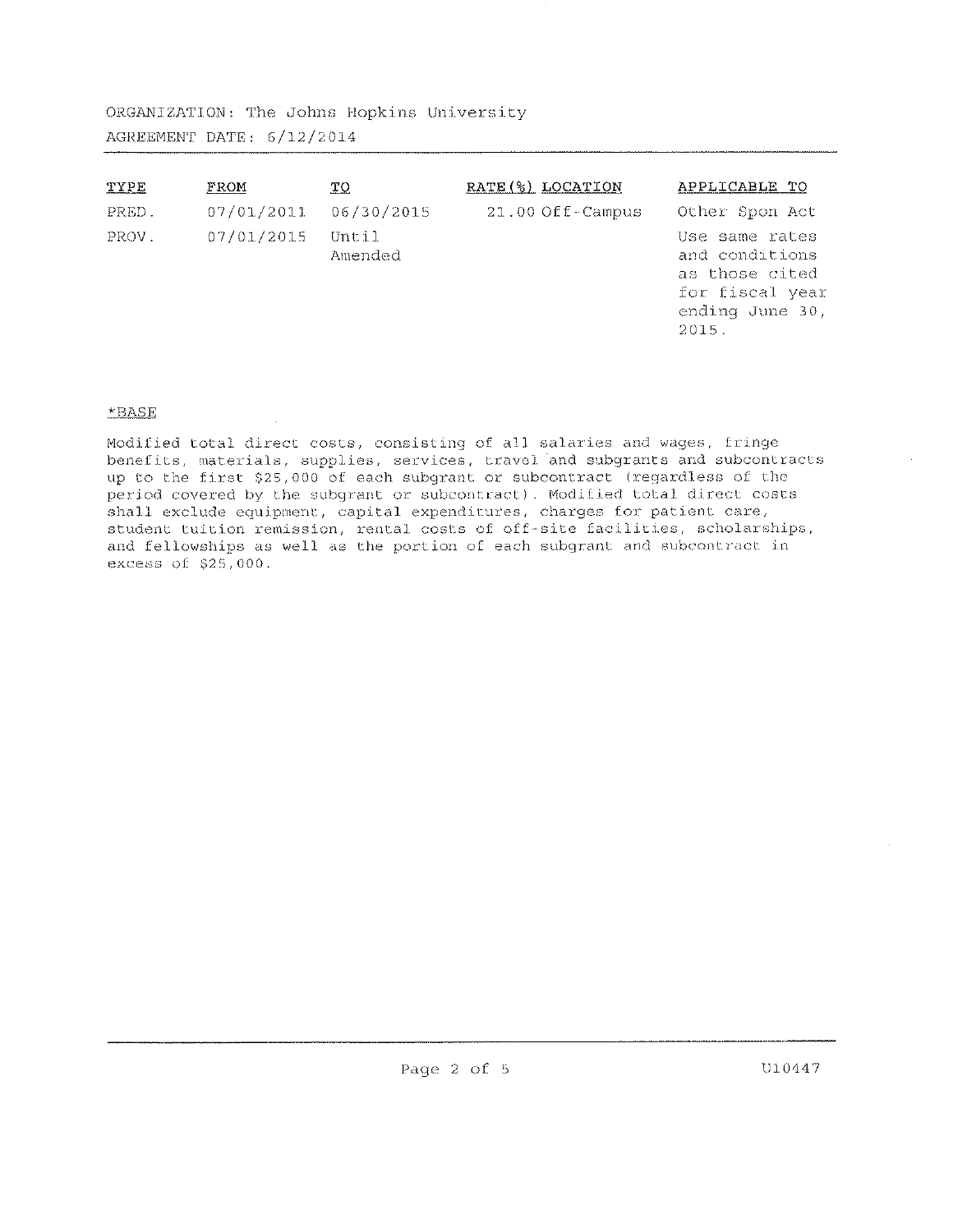ORGANIZATION: The Johns Hopkins University AGREEMENT DATE: 6/12/2014

| TYPE  | FROM       | ТQ               | RATE (%) LOCATION  | APPLICABLE TO                                                                                     |
|-------|------------|------------------|--------------------|---------------------------------------------------------------------------------------------------|
| PRED. | 07/01/2011 | 06/30/2015       | $21.00$ Off-Campus | Other Spon Act                                                                                    |
| PROV. | 07/01/2015 | Until<br>Amended |                    | Use same rates<br>and conditions<br>as those cited<br>for fiscal year<br>ending June 30,<br>2015. |

# \*BASE

Modified total direct costs, consisting of all salaries and wages, fringe benefits, materials, supplies, services, travel and subgrants and subcontracts up to the first \$25,000 of each subgrant or subcontract (regardless of the period covered by the subgrant or subcontract). Modified total direct costs shall exclude equipment, capital expenditures, charges for patient care, student tuition remission, rental costs of off-site facilities, scholarships, and fellowships as well as the portion of each subgrant and subcontract in excess of \$25, 000.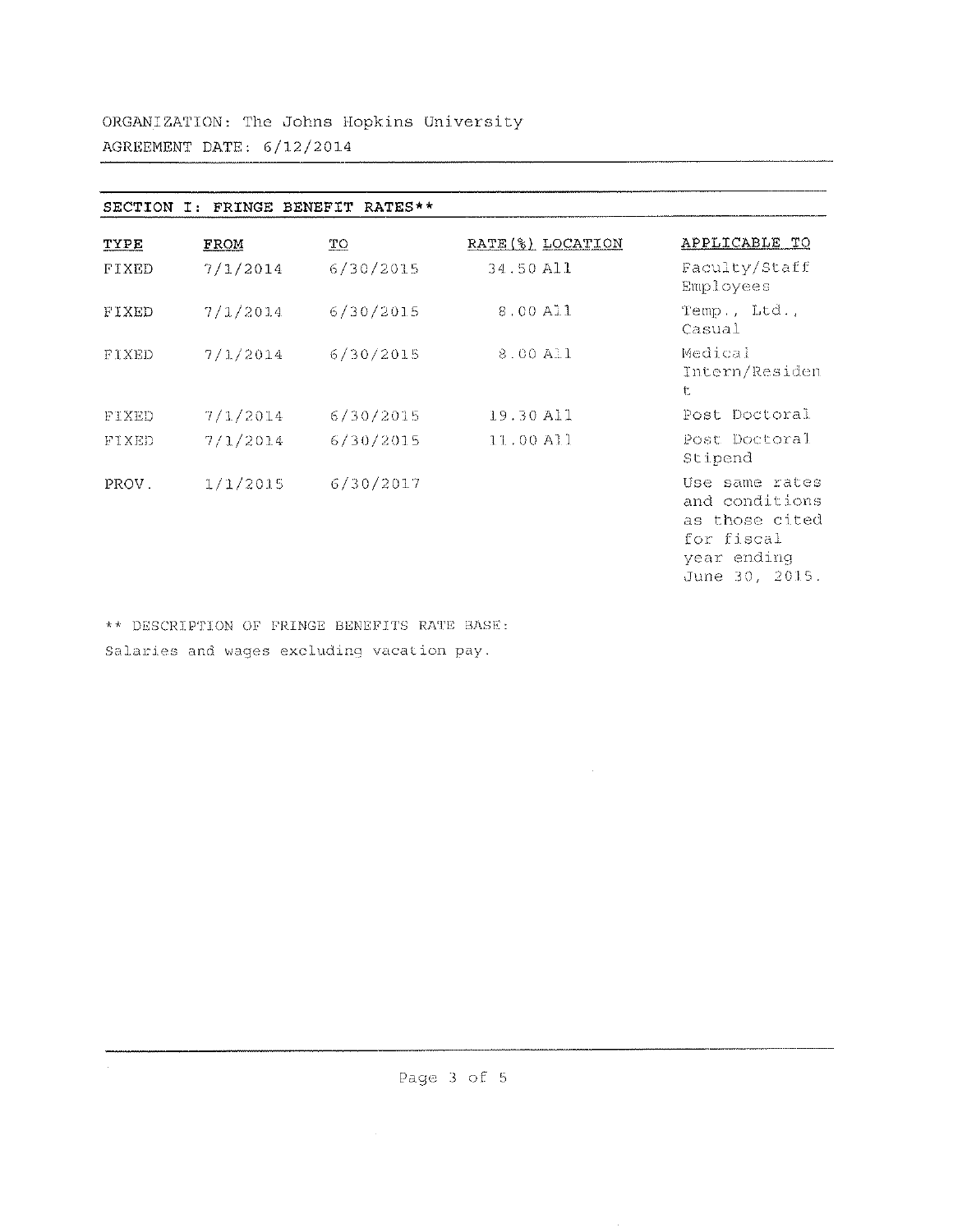| SECTION      | T:       | FRINGE BENEFIT RATES** |                   |                                                                                                   |
|--------------|----------|------------------------|-------------------|---------------------------------------------------------------------------------------------------|
| TYPE         | FROM     | TO                     | RATE (%) LOCATION | APPLICABLE TO                                                                                     |
| FIXED        | 7/1/2014 | 6/30/2015              | 34.50 All         | Faculty/Staff<br>Employees                                                                        |
| FIXED        | 7/1/2014 | 6/30/2015              | 8.00 All          | $Temp.$ , $Ltd.$ ,<br>Casual                                                                      |
| FIXED        | 7/1/2014 | 6/30/2015              | 8.00 All          | Medical<br>Intern/Residen<br>t                                                                    |
| <b>FIXED</b> | 7/1/2014 | 6/30/2015              | 19.30 All         | Post Doctoral                                                                                     |
| <b>FIXED</b> | 7/1/2014 | 6/30/2015              | $11.00$ All       | Post Doctoral<br>Stipend                                                                          |
| PROV.        | 1/1/2015 | 6/30/2017              |                   | Use same rates<br>and conditions<br>as those cited<br>for fiscal<br>year ending<br>June 30, 2015. |

\*\* DESCRIPTION OF FRINGE BENEFITS RATE BASE: Salaries and wages excluding vacation pay.

 $\mathcal{L}_{\mathrm{eff}}$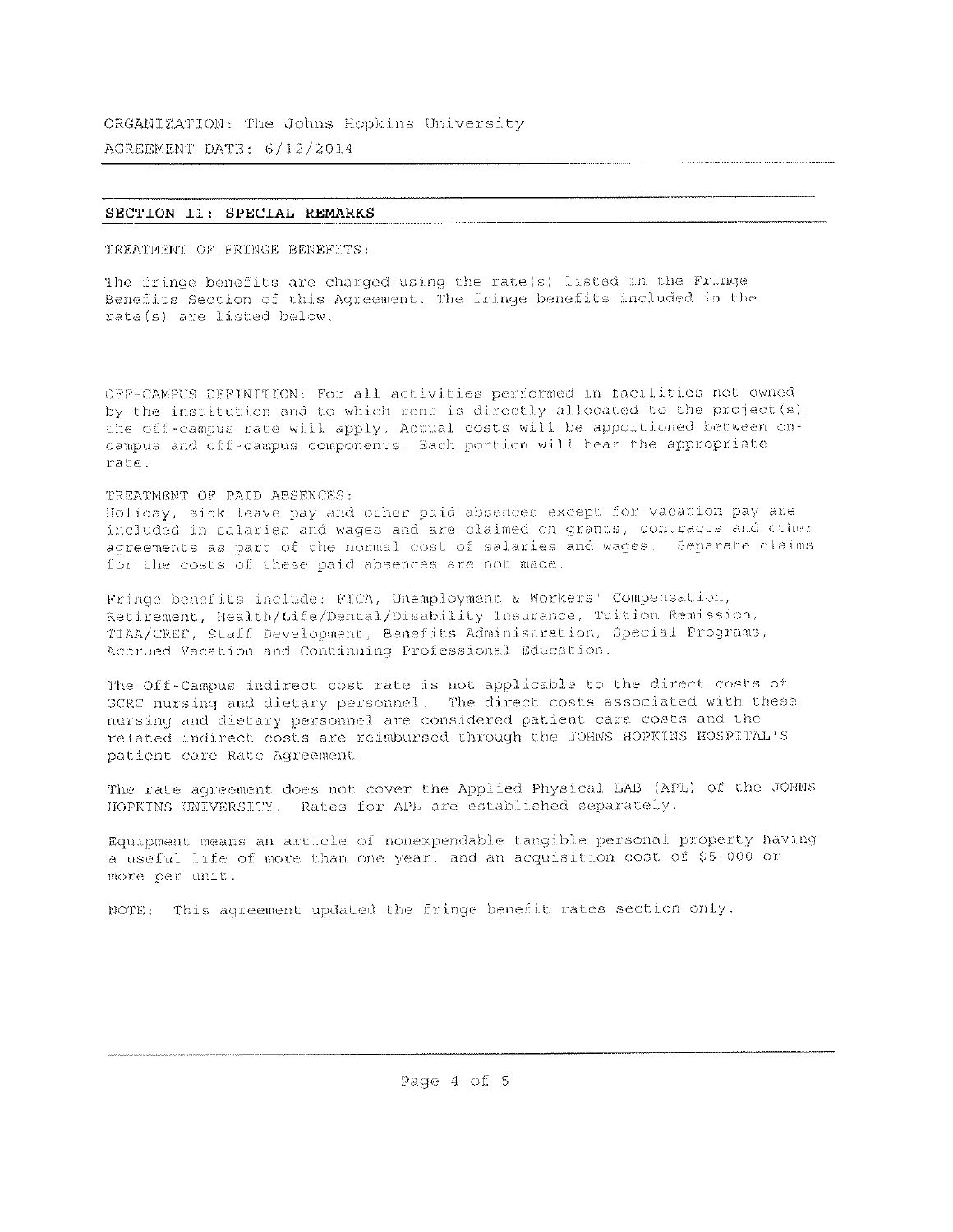## SECTION II: SPECIAL REMARKS

TREATMENT OF FRINGE BENEFITS:

The fringe benefits are charged using the rate(s) listed in the Fringe Benefits Section of this Agreement. The fringe benefits included in the rate(s) are listed below.

OFF-CAMPUS DEFINITION: For all activities performed in facilities not owned by the institution and to which rent is directly allocated to the project(s), the off-campus rate will apply. Actual costs will be apportioned between oncampus and off-campus components. Each portion will bear the appropriate rate.

# TREATMENT OF PAID ABSENCES:

Holiday, sick leave pay and other paid absences except for vacation pay are included in salaries and wages and are claimed on grants, contracts and other agreements as part of the normal cost of salaries and wages. Separate claims for the costs of these paid absences are not made.

Fringe benefits include: FICA, Unemployment & Workers' Compensation, Retirement, Health/Life/Dental/Disability Insurance, Tuition Remission, TIAA/CREF, Staff Development, Benefits Administration, Special Programs, Accrued Vacation and Continuing Professional Education.

The Off-Campus indirect cost rate is not applicable to the direct costs of GCRC nursing and dietary personnel. The direct costs associated with these nursing and dietary personnel are considered patient care costs and the related indirect costs are reimbursed through the JOHNS HOPKINS HOSPITAL'S patient care Rate Agreement.

The rate agreement does not cover the Applied Physical LAB (APL) of the JOHNS HOPKINS UNIVERSITY. Rates for APL are established separately.

Equipment means an article of nonexpendable tangible personal property having a useful life of more than one year, and an acquisition cost of \$5,000 or more per unit.

NOTE: This agreement updated the fringe benefit rates section only.